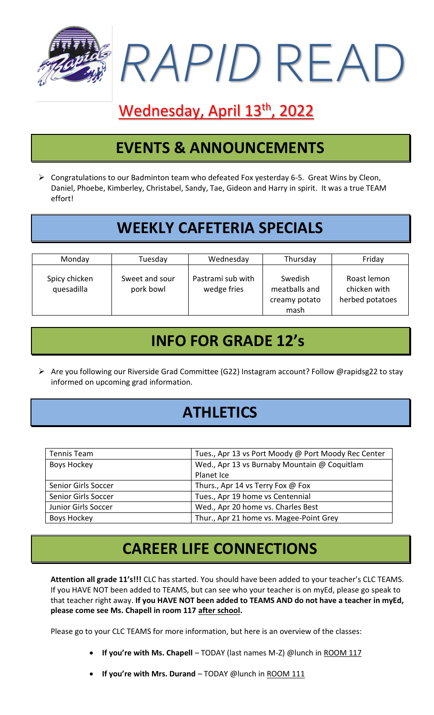

# Wednesday, April 13<sup>th</sup>, 2022

### **EVENTS & ANNOUNCEMENTS**

➢ Congratulations to our Badminton team who defeated Fox yesterday 6-5. Great Wins by Cleon, Daniel, Phoebe, Kimberley, Christabel, Sandy, Tae, Gideon and Harry in spirit. It was a true TEAM effort!

### **WEEKLY CAFETERIA SPECIALS**

| Monday                      | Tuesday                     | Wednesday                        | Thursday                                          | Friday                                         |
|-----------------------------|-----------------------------|----------------------------------|---------------------------------------------------|------------------------------------------------|
| Spicy chicken<br>quesadilla | Sweet and sour<br>pork bowl | Pastrami sub with<br>wedge fries | Swedish<br>meatballs and<br>creamy potato<br>mash | Roast lemon<br>chicken with<br>herbed potatoes |

### **INFO FOR GRADE 12's**

➢ Are you following our Riverside Grad Committee (G22) Instagram account? Follow @rapidsg22 to stay informed on upcoming grad information.

# **ATHLETICS**

| Tennis Team         | Tues., Apr 13 vs Port Moody @ Port Moody Rec Center |
|---------------------|-----------------------------------------------------|
| Boys Hockey         | Wed., Apr 13 vs Burnaby Mountain @ Coquitlam        |
|                     | Planet Ice                                          |
| Senior Girls Soccer | Thurs., Apr 14 vs Terry Fox @ Fox                   |
| Senior Girls Soccer | Tues., Apr 19 home vs Centennial                    |
| Junior Girls Soccer | Wed., Apr 20 home vs. Charles Best                  |
| Boys Hockey         | Thur., Apr 21 home vs. Magee-Point Grey             |

#### **CAREER LIFE CONNECTIONS**

**Attention all grade 11's!!!** CLC has started. You should have been added to your teacher's CLC TEAMS. If you HAVE NOT been added to TEAMS, but can see who your teacher is on myEd, please go speak to that teacher right away. **If you HAVE NOT been added to TEAMS AND do not have a teacher in myEd, please come see Ms. Chapell in room 117 after school.**

Please go to your CLC TEAMS for more information, but here is an overview of the classes:

- **If you're with Ms. Chapell** TODAY (last names M-Z) @lunch in ROOM 117
- **If you're with Mrs. Durand** TODAY @lunch in ROOM 111